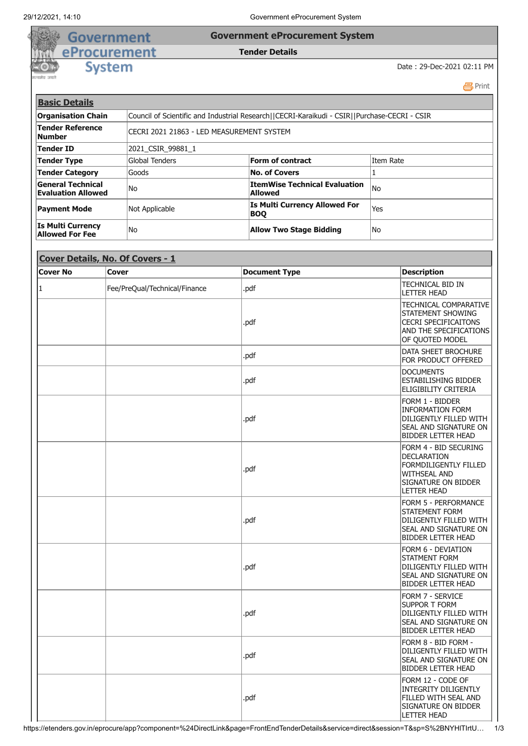## Government **Government eProcurement System**

## **Tender Details**

**System** 

eProcurement

Date : 29-Dec-2021 02:11 PM

**吕Print Basic Details Organisation Chain** Council of Scientific and Industrial Research||CECRI-Karaikudi - CSIR||Purchase-CECRI - CSIR **Tender Reference Number Reference**<br>**Number** CECRI 2021 21863 - LED MEASUREMENT SYSTEM **Tender ID** 2021\_CSIR\_99881\_1 **Tender Type Form of contract Form of contract Form of contract Item Rate Tender Category Goods No. of Covers No. of Covers No. of Covers General Technical Evaluation Allowed** No **ItemWise Technical Evaluation Allowed** No **Payment Mode** Mot Applicable **Is Multi Currency Allowed For** Yes **Is Multi Currency Allow Two Stage Bidding Two Stage Bidding** 

| Cover Details, No. Of Covers - 1 |                               |                      |                                                                                                                                          |  |
|----------------------------------|-------------------------------|----------------------|------------------------------------------------------------------------------------------------------------------------------------------|--|
| <b>Cover No</b>                  | <b>Cover</b>                  | <b>Document Type</b> | <b>Description</b>                                                                                                                       |  |
| 11                               | Fee/PreQual/Technical/Finance | .pdf                 | TECHNICAL BID IN<br><b>LETTER HEAD</b>                                                                                                   |  |
|                                  |                               | .pdf                 | <b>TECHNICAL COMPARATIVE</b><br>STATEMENT SHOWING<br><b>CECRI SPECIFICAITONS</b><br>AND THE SPECIFICATIONS<br>OF QUOTED MODEL            |  |
|                                  |                               | .pdf                 | DATA SHEET BROCHURE<br>FOR PRODUCT OFFERED                                                                                               |  |
|                                  |                               | .pdf                 | <b>DOCUMENTS</b><br><b>ESTABILISHING BIDDER</b><br>ELIGIBILITY CRITERIA                                                                  |  |
|                                  |                               | .pdf                 | Form 1 - Bidder<br><b>INFORMATION FORM</b><br>DILIGENTLY FILLED WITH<br>SEAL AND SIGNATURE ON<br><b>BIDDER LETTER HEAD</b>               |  |
|                                  |                               | .pdf                 | FORM 4 - BID SECURING<br>DECLARATION<br><b>FORMDILIGENTLY FILLED</b><br><b>WITHSEAL AND</b><br>SIGNATURE ON BIDDER<br><b>LETTER HEAD</b> |  |
|                                  |                               | .pdf                 | <b>FORM 5 - PERFORMANCE</b><br><b>STATEMENT FORM</b><br>DILIGENTLY FILLED WITH<br>SEAL AND SIGNATURE ON<br><b>BIDDER LETTER HEAD</b>     |  |
|                                  |                               | .pdf                 | FORM 6 - DEVIATION<br><b>STATMENT FORM</b><br>DILIGENTLY FILLED WITH<br>SEAL AND SIGNATURE ON<br><b>BIDDER LETTER HEAD</b>               |  |
|                                  |                               | .pdf                 | <b>FORM 7 - SERVICE</b><br><b>SUPPOR T FORM</b><br>DILIGENTLY FILLED WITH<br>SEAL AND SIGNATURE ON<br>BIDDER LETTER HEAD                 |  |
|                                  |                               | .pdf                 | FORM 8 - BID FORM -<br>DILIGENTLY FILLED WITH<br>SEAL AND SIGNATURE ON<br><b>BIDDER LETTER HEAD</b>                                      |  |
|                                  |                               | .pdf                 | FORM 12 - CODE OF<br><b>INTEGRITY DILIGENTLY</b><br>FILLED WITH SEAL AND<br>SIGNATURE ON BIDDER<br><b>LETTER HEAD</b>                    |  |

https://etenders.gov.in/eprocure/app?component=%24DirectLink&page=FrontEndTenderDetails&service=direct&session=T&sp=S%2BNYHlTIrtU… 1/3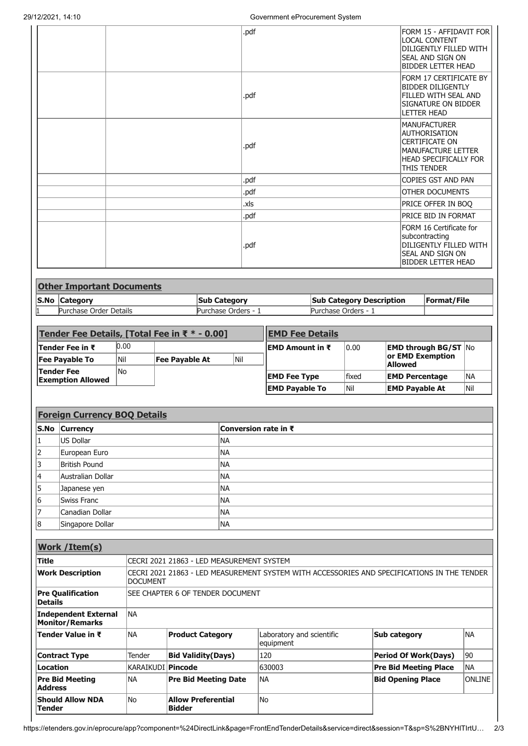$\Gamma$ 

| .pdf | FORM 15 - AFFIDAVIT FOR<br><b>LOCAL CONTENT</b><br>DILIGENTLY FILLED WITH<br>Seal and sign on<br><b>BIDDER LETTER HEAD</b>                |
|------|-------------------------------------------------------------------------------------------------------------------------------------------|
| .pdf | FORM 17 CERTIFICATE BY<br><b>BIDDER DILIGENTLY</b><br>FILLED WITH SEAL AND<br>SIGNATURE ON BIDDER<br><b>LETTER HEAD</b>                   |
| .pdf | <b>MANUFACTURER</b><br>AUTHORISATION<br><b>CERTIFICATE ON</b><br>MANUFACTURE LETTER<br><b>HEAD SPECIFICALLY FOR</b><br><b>THIS TENDER</b> |
| .pdf | COPIES GST AND PAN                                                                                                                        |
| .pdf | <b>OTHER DOCUMENTS</b>                                                                                                                    |
| .xls | PRICE OFFER IN BOQ                                                                                                                        |
| .pdf | PRICE BID IN FORMAT                                                                                                                       |
| .pdf | FORM 16 Certificate for<br>subcontracting<br>DILIGENTLY FILLED WITH<br>Seal and sign on<br><b>BIDDER LETTER HEAD</b>                      |

| <b>Other Important Documents</b> |                     |                                 |             |  |
|----------------------------------|---------------------|---------------------------------|-------------|--|
| S.No Category                    | <b>Sub Category</b> | <b>Sub Category Description</b> | Format/File |  |
| Purchase Order Details           | Purchase Orders - 1 | Purchase Orders - 1             |             |  |

| Tender Fee Details, [Total Fee in ₹ $*$ - 0.00] |      |                       | <b>EMD Fee Details</b> |                        |               |                                                    |     |
|-------------------------------------------------|------|-----------------------|------------------------|------------------------|---------------|----------------------------------------------------|-----|
| <b>Tender Fee in ₹</b>                          | 0.00 |                       |                        | EMD Amount in ₹        | 0.00          | <b>EMD through BG/ST <math>\overline{N}</math></b> |     |
| <b>Fee Pavable To</b>                           | Nil  | <b>Fee Pavable At</b> | Nil                    |                        |               | or EMD Exemption<br><b>Allowed</b>                 |     |
| <b>Tender Fee</b><br><b>Exemption Allowed</b>   | lNo  |                       |                        | <b>EMD Fee Type</b>    | <b>lfixed</b> | <b>EMD Percentage</b>                              | INA |
|                                                 |      |                       |                        | <b>IEMD Pavable To</b> | lNil          | <b>EMD Pavable At</b>                              | Nil |

|    | <b>Foreign Currency BOQ Details</b> |                      |  |  |
|----|-------------------------------------|----------------------|--|--|
|    | S.No Currency                       | Conversion rate in ₹ |  |  |
| 1  | US Dollar                           | <b>NA</b>            |  |  |
| 2  | European Euro                       | <b>NA</b>            |  |  |
| 13 | British Pound                       | <b>NA</b>            |  |  |
| 14 | Australian Dollar                   | <b>NA</b>            |  |  |
| 15 | Japanese yen                        | <b>NA</b>            |  |  |
| 16 | Swiss Franc                         | <b>NA</b>            |  |  |
| 17 | Canadian Dollar                     | <b>NA</b>            |  |  |
| 18 | Singapore Dollar                    | NA                   |  |  |

| Work / Item(s)                                 |                     |                                                                                             |                                        |                              |               |  |  |
|------------------------------------------------|---------------------|---------------------------------------------------------------------------------------------|----------------------------------------|------------------------------|---------------|--|--|
| lTitle                                         |                     | CECRI 2021 21863 - LED MEASUREMENT SYSTEM                                                   |                                        |                              |               |  |  |
| <b>Work Description</b>                        | <b>DOCUMENT</b>     | CECRI 2021 21863 - LED MEASUREMENT SYSTEM WITH ACCESSORIES AND SPECIFICATIONS IN THE TENDER |                                        |                              |               |  |  |
| <b>Pre Qualification</b><br><b>IDetails</b>    |                     | SEE CHAPTER 6 OF TENDER DOCUMENT                                                            |                                        |                              |               |  |  |
| Independent External<br><b>Monitor/Remarks</b> | INA                 |                                                                                             |                                        |                              |               |  |  |
| <b>Tender Value in ₹</b>                       | INA                 | <b>Product Category</b>                                                                     | Laboratory and scientific<br>equipment | Sub category                 | lna           |  |  |
| <b>Contract Type</b>                           | Tender              | <b>Bid Validity (Days)</b>                                                                  | 120                                    | <b>Period Of Work(Days)</b>  | 90            |  |  |
| <b>ILocation</b>                               | KARAIKUDI   Pincode |                                                                                             | 630003                                 | <b>Pre Bid Meeting Place</b> | INA           |  |  |
| <b>Pre Bid Meeting</b><br><b>Address</b>       | <b>NA</b>           | <b>Pre Bid Meeting Date</b>                                                                 | INA                                    | <b>Bid Opening Place</b>     | <b>ONLINE</b> |  |  |
| <b>Should Allow NDA</b><br> Tender             | lNo.                | <b>Allow Preferential</b><br><b>Bidder</b>                                                  | lNo                                    |                              |               |  |  |